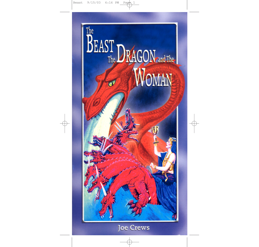

# **Joe Crews**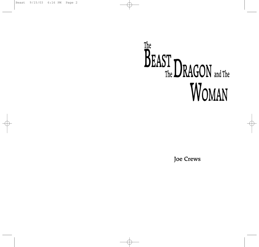# The BEAST DRAGON and The MOMANI WOMAN

Joe Crews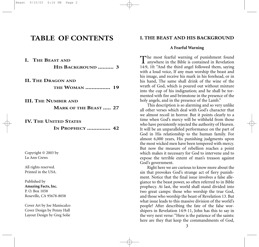# **TABLE OF CONTENTS**

| I. THE BEAST AND                            |
|---------------------------------------------|
| HIS BACKGROUND  3                           |
|                                             |
| <b>II. THE DRAGON AND</b>                   |
| <b>THE WOMAN  19</b>                        |
| <b>III. THE NUMBER AND</b>                  |
| <b>MARK OF THE BEAST  27</b>                |
| <b>IV. THE UNITED STATES</b>                |
| IN PROPHECY  42                             |
|                                             |
| Copyright $@$ 2003 by                       |
| Lu Ann Crews                                |
| All rights reserved.<br>Printed in the USA. |
|                                             |
| Published by                                |
| Amazing Facts, Inc.                         |

P. O. Box 1058 Roseville, CA 95678-8058

Cover Art by Joe Maniscalco Cover Design by Penny Hall Layout Design by Greg Solie

#### **I. THE BEAST AND HIS BACKGROUND**

#### **A Fearful Warning**

The most fearful warning of punishment found anywhere in the Bible is contained in Revelation 14:9, 10: "And the third angel followed them, saying with a loud voice, If any man worship the beast and his image, and receive his mark in his forehead, or in his hand, The same shall drink of the wine of the wrath of God, which is poured out without mixture into the cup of his indignation; and he shall be tormented with fire and brimstone in the presence of the holy angels, and in the presence of the Lamb."

This description is so alarming and so very unlike all other verses which deal with God's character that we almost recoil in horror. But it points clearly to a time when God's mercy will be withheld from those who have persistently rejected the authority of Heaven. It will be an unparalleled performance on the part of God in His relationship to the human family. For almost 6,000 years, His punishing judgments upon the most wicked men have been tempered with mercy. But now the measure of rebellion reaches a point which makes it necessary for God to intervene and to expose the terrible extent of man's treason against God's government.

Right here we are curious to know more about the sin that provokes God's strange act of fiery punishment. Notice that the final issue involves a false allegiance to the beast power, so often referred to in Bible prophecy. At last, the world shall stand divided into two great camps: those who worship the true God, and those who worship the beast of Revelation 13. But what issue leads to this massive division of the world's people? After describing the fate of the false worshipers in Revelation 14:9-11, John has this to say in the very next verse: "Here is the patience of the saints: here are they that keep the commandments of God,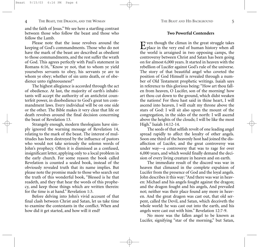and the faith of Jesus." We see here a startling contrast between those who follow the beast and those who follow the Lamb.

Please note that the issue revolves around the keeping of God's commandments. Those who do not have the mark of the beast are described as obedient to those commandments, and the rest suffer the wrath of God. This agrees perfectly with Paul's statement in Romans 6:16, "Know ye not, that to whom ye yield yourselves servants to obey, his servants ye are to whom ye obey; whether of sin unto death, or of obedience unto righteousness?"

The highest allegiance is accorded through the act of obedience. At last, the majority of earth's inhabitants will accept the authority of an antichrist counterfeit power, in disobedience to God's great ten commandment laws. Every individual will be on one side or the other. The Bible makes it very clear that life or death revolves around the final decision concerning the beast of Revelation 13.

Strangely enough, modern theologians have simply ignored the warning message of Revelation 14, relating to the mark of the beast. The interest of multitudes has been destroyed by the influence of pastors who would not take seriously the solemn words of John's prophecy. Often it is dismissed as a confused, insignificant letter, applying only to a local problem in the early church. For some reason the book called Revelation is counted a sealed book, instead of the obviously revealed truth that its name implies. But please note the promise made to those who search out the truth of this wonderful book, "Blessed is he that readeth, and they that hear the words of this prophecy, and keep those things which are written therein: for the time is at hand." Revelation 1:3.

Before delving into John's vivid account of that final clash between Christ and Satan, let us take time to examine the contestants in the conflict. When and how did it get started, and how will it end?

#### **Two Powerful Contenders**

Even though the climax in the great struggle takes place in the very end of human history when all the world is arraigned in two opposing camps, the controversy between Christ and Satan has been going on for almost 6,000 years. It started in heaven with the rebellion of Lucifer against God's rule of the universe. The story of that beautiful angel who coveted the position of God Himself is revealed through a number of Old Testament prophetic writings. Isaiah says in reference to this glorious being: "How art thou fallen from heaven, O Lucifer, son of the morning! how art thou cut down to the ground, which didst weaken the nations! For thou hast said in thine heart, I will ascend into heaven, I will exalt my throne above the stars of God: I will sit also upon the mount of the congregation, in the sides of the north: I will ascend above the heights of the clouds; I will be like the most High." Isaiah 14:12-14.

The seeds of that selfish revolt of one leading angel spread rapidly to affect the loyalty of other angels. Soon one third of the heavenly host had joined the disaffection of Lucifer, and the great controversy was under way—a controversy that was to rage for over 6,000 years, and which would finally demand the decision of every living creature in heaven and on earth.

The immediate result of the discord was war in heaven that climaxed in the complete expulsion of Lucifer from the presence of God and the loyal angels. John describes it this way: "And there was war in heaven: Michael and his angels fought against the dragon; and the dragon fought and his angels, And prevailed not; neither was their place found any more in heaven. And the great dragon was cast out, that old serpent, called the Devil, and Satan, which deceiveth the whole world: he was cast out into the earth, and his angels were cast out with him." Revelation 12:7-9.

No more was the fallen angel to be known as Lucifer, signifying "star of the morning," but Satan,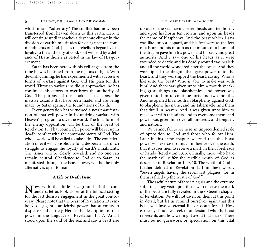which means "adversary." The conflict had now been transferred from heaven down to this earth. Here it will continue until it reaches a desperate climax in the division of earth's multitudes for or against the commandments of God. Just as the rebellion began by disloyalty to the authority of God, so it will end by a defiance of His authority as vested in the law of His government.

Satan has been here with his evil angels from the time he was banished from the regions of light. With devilish cunning, he has experimented with successive forms of warfare against God and His plan for this world. Through various insidious approaches, he has continued his efforts to overthrow the authority of God. The purpose of this booklet is to expose the massive assaults that have been made, and are being made, by Satan against the foundations of truth.

Every generation has witnessed a new manifestation of that evil power in its untiring warfare with Heaven's program to save the world. The final form of the enemy opposition will be that of the beast of Revelation 13. That counterfeit power will be set up in deadly conflict with the commandments of God. The whole world will be called to take sides. The confederation of evil will consolidate for a desperate last-ditch struggle to engage the loyalty of earth's inhabitants. The issues will be clearly revealed, and no one can remain neutral. Obedience to God or to Satan, as manifested through the beast power, will be the only alternatives open to man.

#### **A Life or Death Issue**

Now, with this little background of the con-tenders, let us look closer at the biblical setting for the last decisive engagement in the great controversy. Please note that the beast of Revelation 13 symbolizes a gigantic antichrist power that attempts to displace God entirely. Here is the description of that power in the language of Revelation 13:17: "And I stood upon the sand of the sea, and saw a beast rise up out of the sea, having seven heads and ten horns, and upon his horns ten crowns, and upon his heads the name of blasphemy. And the beast which I saw was like unto a leopard, and his feet were as the feet of a bear, and his mouth as the mouth of a lion: and the dragon gave him his power, and his seat, and great authority. And I saw one of his heads as it were wounded to death; and his deadly wound was healed: and all the world wondered after the beast. And they worshipped the dragon that gave power unto the beast: and they worshipped the beast, saying, Who is like unto the beast? Who is able to make war with him? And there was given unto him a mouth speaking great things and blasphemies; and power was given unto him to continue forty and two months. And he opened his mouth in blasphemy against God, to blaspheme his name, and his tabernacle, and them that dwell in heaven. And it was given unto him to make war with the saints, and to overcome them: and power was given him over all kindreds, and tongues, and nations."

We cannot fail to see here an unprecedented scale of opposition to God and those who follow Him. Later in this same chapter, we read that this beast power will exercise so much influence over the earth, that it causes men to receive a mark in their foreheads or hands (Revelation 13:16). Finally, those who have the mark will suffer the terrible wrath of God as described in Revelation 14:9, 10. The wrath of God is further defined in Revelation 15:1 in these words, "Seven angels having the seven last plagues; for in them is filled up the wrath of God."

The awful nature of those plagues and the extreme sufferings they visit upon those who receive the mark of the beast are fully revealed in the sixteenth chapter of Revelation. We will not dwell on them at this point in detail, but let us remind ourselves again that this issue will involve eternal life or death for all. How earnestly should we seek to understand who the beast represents and how we might avoid that mark! There must be no guesswork or speculation on this vital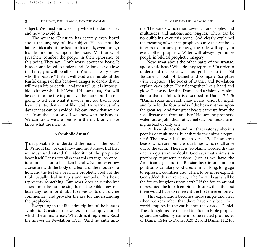subject. We must know exactly where the danger lies and how to avoid it.

The average Christian has scarcely even heard about the urgency of this subject. He has not the faintest idea about the beast or his mark, even though his destiny hinges upon the issue. Multitudes of preachers comfort the people in their ignorance of this point. They say, "Don't worry about the beast. It is too complicated to understand. As long as you love the Lord, you will be all right. You can't really know who the beast is." Listen, will God warn us about the fearful danger of this beast—a danger so deadly that it will mean life or death—and then tell us it is impossible to know what it is? Would He say to us, "You will be cast into the fire if you have the mark, but I'm not going to tell you what it is—it's just too bad if you have it"? No, that is not like God. He warns us of a danger that can be avoided. We can know that we are safe from the beast only if we know who the beast is. We can know we are free from the mark only if we know what the mark is.

#### **A Symbolic Animal**

Is it possible to understand the mark of the beast?<br>Without fail, we can know and must know. But first Without fail, we can know and must know. But first we must understand the identity of the prophetic beast itself. Let us establish that this strange, composite animal is not to be taken literally. No one ever saw a creature with the body of a leopard, the mouth of a lion, and the feet of a bear. The prophetic books of the Bible usually deal in types and symbols. This beast represents something. But what does it symbolize? There must be no guessing here. The Bible does not leave any room for doubt. It serves as its own divine commentary and provides the key for understanding the prophecies.

Everything in the Bible description of the beast is symbolic. Consider the water, for example, out of which the animal arises. What does it represent? Read the answer in Revelation 17:15, "And he saith unto

me, The waters which thou sawest … are peoples, and multitudes, and nations, and tongues." There can be no quibbling over this point. God clearly explained the meaning of water in prophecy. Once the symbol is interpreted in any prophecy, the rule will apply in every other prophecy. Water will always symbolize people in biblical prophetic imagery.

Now, what about the other parts of the strange, apocalyptic beast? What do they represent? In order to understand the beast we must go back to the Old Testament book of Daniel and compare Scripture with Scripture. The books of Daniel and Revelation explain each other. They fit together like a hand and glove. Please notice that Daniel had a vision very similar to that of John. It is described in Daniel 7:2, 3: "Daniel spake and said, I saw in my vision by night, and, behold, the four winds of the heaven strove upon the great sea. And four great beasts came up from the sea, diverse one from another." He saw the prophetic water just as John did, but Daniel saw four beasts arising instead of only one.

We have already found out that water symbolizes peoples or multitudes, but what do the animals represent? The answer is found in verse 17, "These great beasts, which are four, are four kings, which shall arise out of the earth." There it is. So plainly worded that no one can question or doubt! God says that animals in prophecy represent nations. Just as we have the American eagle and the Russian bear in our modem political vocabulary, God used animals long, long ago to represent countries also. Then, to be more explicit, God added this in verse 23, "The fourth beast shall be the fourth kingdom upon earth." If the fourth animal represented the fourth empire of history, then the first three would have to represent the first three empires.

This explanation becomes more simple and clear when we remember that there have only been four world empires in the earth since the days of Daniel. These kingdoms are referred to often in Bible prophecy and are called by name in some related prophecies of Daniel. Refer to Daniel 8:20, 21 and Daniel 11:2 for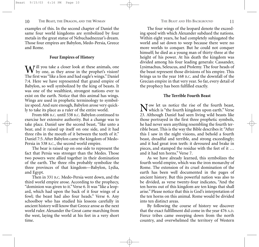examples of this. In the second chapter of Daniel the same four world kingdoms are symbolized by four metals in the great statue of Nebuchadnezzar's dream. Those four empires are Babylon, Medo-Persia, Greece and Rome.

### **Four Empires of History**

W ill you take a closer look at these animals, one<br>by one, as they arose in the prophet's vision? The first was "like a lion and had eagle's wings." Daniel 7:4. Here we have represented that grand empire of Babylon, so well symbolized by the king of beasts. It was one of the wealthiest, strongest nations ever to exist on the earth. Notice that this animal has wings. Wings are used in prophetic terminology to symbolize speed. And sure enough, Babylon arose very quickly to take its place as a ruler of the entire world.

From 606 B.C. until 538 B.C. Babylon continued to exercise her extensive authority. But a change was to take place. Daniel saw the second beast, "like unto a bear, and it raised up itself on one side, and it had three ribs in the mouth of it between the teeth of it." Daniel 7:5. After Babylon came the kingdom of Medo-Persia in 538 B.C., the second world empire.

The bear is raised up on one side to represent the fact that Persia was stronger than the Medes. Those two powers were allied together in their domination of the earth. The three ribs probably symbolize the three provinces of that kingdom—Babylon, Lydia, and Egypt.

Then in 331 B.C. Medo-Persia went down, and the third world empire arose. According to the prophecy, "dominion was given to it." Verse 6. It was "like a leopard, which had upon the back of it four wings of a fowl; the beast had also four heads." Verse 6. Any schoolboy who has studied his lessons carefully in ancient history will know that Greece arose as the next world ruler. Alexander the Great came marching from the west, laying the world at his feet in a very short time.

The four wings of the leopard denote the exceeding speed with which Alexander subdued the nations. Within eight years, he had completely subjugated the world and sat down to weep because there were no more worlds to conquer. But he could not conquer himself; he died as a young man of thirty-three at the height of his power. At his death the kingdom was divided among his four leading generals: Cassander, Lysimachus, Seleucus, and Ptolemy. The four heads of the beast represent those divisions of his empire. This brings us to the year 168 B.C. and the downfall of the Grecian empire in that very year. So far, every detail of the prophecy has been fulfilled exactly.

#### **The Terrible Fourth Beast**

Now let us notice the rise of the fourth beast, which is "the fourth kingdom upon earth." Verse 23. Although Daniel had seen living wild beasts like those portrayed in the first three prophetic symbols, he had never seen anything resembling the fourth terrible beast. This is the way the Bible describes it: "After this I saw in the night visions, and behold a fourth beast, dreadful and terrible, and strong exceedingly; and it had great iron teeth: it devoured and brake in pieces, and stamped the residue with the feet of it … and it had ten horns." Verse 7.

As we have already learned, this symbolizes the fourth world empire, which was the iron monarchy of Rome. The extension of its cruel domination of the earth has been well documented in the pages of ancient history. But this powerful nation was also to be divided, as verse twenty-four indicates, "And the ten horns out of this kingdom are ten kings that shall arise." Please notice that this is God's interpretation of the ten horns on this animal. Rome would be divided into ten distinct areas.

By following the course of history we discover that the exact fulfillment did come in the year 476 A.D. Fierce tribes came sweeping down from the north country, and overwhelmed the territory of Western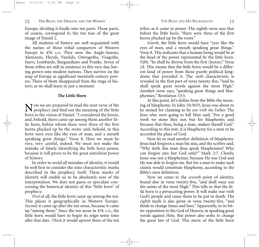Europe, dividing it finally into ten parts. Those parts, of course, correspond to the ten toes of the great image of Daniel 2.

All students of history are well acquainted with the names of those tribal conquerors of Western Europe in 476 A.D. They were the Anglo-Saxons, Alemanni, Heruli, Vandals, Ostrogoths, Visigoths, Suevi, Lombards, Burgundians and Franks. Seven of those tribes are still in existence to this very day, having grown into modem nations. They survive on the map of Europe as significant twentieth century powers. Three of them disappeared from the stage of history, as we shall learn in just a moment.

#### **The Little Horn**

Now we are prepared to read the next verse of the<br>prophecy and find out the meaning of the little horn in the vision of Daniel. "I considered the horns, and, behold, there came up among them another little horn, before whom there were three of the first horns plucked up by the roots: and, behold, in this horn were eyes like the eyes of man, and a mouth speaking great things." Verse 8. Here we must be very, very careful, indeed. We must not make the mistake of falsely identifying the little horn power, because it will prove to be the great antichrist power of history.

In order to avoid all mistakes of identity, it would be well first to consider the nine characteristic marks described in the prophecy itself. These marks of identity will enable us to be absolutely sure of the interpretation. We dare not guess or speculate concerning the historical identity of this "little horn" of prophecy.

*First* of all, the little horn came up among the ten. This places it geographically in Western Europe. *Second,* it came up after the ten arose, because it came up "among them." Since the ten arose in 476 A.D., the little horn would have to begin its reign some time after that date. *Third*, it would uproot three of the ten

tribes as it came to power. The eighth verse says that before the little horn, "there were three of the first horns plucked up by the roots."

*Fourth,* the little horn would have "eyes like the eyes of man, and a mouth speaking great things." Verse 8. This indicates that a human being would be at the head of the power represented by the little horn. *Fifth,* "he shall be diverse from the first (horns)." Verse 24. This means that the little horn would be a different kind of power from those purely political kingdoms that preceded it. The *sixth* characteristic is revealed in the first part of verse twenty-five, "And he shall speak great words against the most High." Another verse says, "speaking great things and blasphemies." Revelation 13:5.

At this point, let's define from the Bible the meaning of blasphemy. In John 10:3033, Jesus was about to be stoned for claiming to be *one with the Father.* The Jews who were going to kill Him said, "For a good work we stone thee not; but for blasphemy; and because that thou, being a man, makest thyself God." According to this text, it is blasphemy for a man to be accorded the place of God.

Now let us read another definition of blasphemy. Jesus had forgiven a man his sins, and the scribes said, "Why doth this man thus speak blasphemies? Who can forgive sins but God only?" Mark 2:7. Clearly, Jesus was not a blasphemer, because He was God and He was able to forgive sin. But for a man to make such claims would constitute blasphemy, according to the Bible's own definition.

Now we come to the *seventh* point of identity, found also in verse twenty-five, "and shall wear out the saints of the most High." This tells us that the little horn is a persecuting power. It will make war with God's people and cause them to be put to death. The *eighth* mark is also given in verse twenty-five, "and think to change times and laws." Apparently, in its bitter opposition to the God of Heaven, in speaking great words against Him, this power also seeks to change the great law of God. This move of the little horn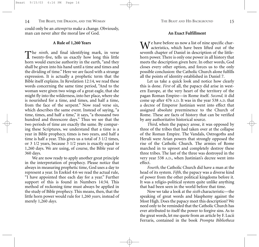could only be an *attempt* to make a change. Obviously, man can never alter the moral law of God.

#### **A Rule of 1,260 Years**

The *ninth*, and final identifying mark, in verse<br>twenty-five, tells us exactly how long this little horn would exercise authority in the earth, "and they shall be given into his hand until a time and times and the dividing of time." Here we are faced with a strange expression. It is actually a prophetic term that the Bible itself explains. In Revelation 12:14, we read these words concerning the same time period, "And to the woman were given two wings of a great eagle, that she might fly into the wilderness, into her place, where she is nourished for a time, and times, and half a time, from the face of the serpent." Now read verse six, which describes the same event. Instead of saying, "a time, times, and half a time," it says, "a thousand two hundred and threescore days." Thus we see that the two periods of time are exactly the same. By comparing these Scriptures, we understand that a time is a year in Bible prophecy, times is two years, and half a time is half a year. This gives us a total of 3 1/2 times, or 3 1/2 years, because 3 1/2 years is exactly equal to 1,260 days. We are using, of course, the Bible year of 360 days.

We are now ready to apply another great principle in the interpretation of prophecy. Please notice that always in measuring prophetic time, God uses a day to represent a year. In Ezekiel 4:6 we read the actual rule, "I have appointed thee each day for a year." Further support of this is found in Numbers 14:34. This method of reckoning time must always be applied in the study of Bible prophecy. This means, then, that the little horn power would rule for 1,260 *years,* instead of merely 1,260 *days*.

#### **An Exact Fulfillment**

We have before us now a list of nine specific char-<br>acteristics, which have been lifted out of the seventh chapter of Daniel in description of the littlehorn power. There is only one power in all history that meets the description given here. In other words, God closes every other option, and forces us to the only possible conclusion: the Catholic Church alone fulfills all the points of identity established in Daniel 7.

Let us take a quick look and notice how clearly this is done. *First* of all, the papacy did arise in western Europe, at the very heart of the territory of the pagan Roman Empire—in Rome itself. *Second,* it did come up after 476 A.D. It was in the year 538 A.D. that a decree of Emperor Justinian went into effect that assigned absolute preeminence to the Church of Rome. These are facts of history that can be verified by any authoritative historical source.

*Third*, when the papacy arose, it was opposed by three of the tribes that had taken over at the collapse of the Roman Empire. The Vandals, Ostrogoths and Heruli were Arian powers that strongly opposed the rise of the Catholic Church. The armies of Rome marched in to uproot and completely destroy these three tribes. The last of the three was destroyed in the very year 538 A.D., when Justinian's decree went into effect.

*Fourth,* the Catholic Church did have a man at the head of its system. *Fifth,* the papacy was a diverse kind of power from the other political kingdoms before it. It was a religio-political system quite unlike anything that had been seen in the world before that time.

Now we take a look at the *sixth* characteristic—the speaking of great words and blasphemy against the Most High. Does the papacy meet this description? We need only to be reminded that the Catholic Church has ever attributed to itself the power to forgive sins. As to the great words, let me quote from an article by F. Lucii Ferraris, contained in the book *Prompta Bibliotheca*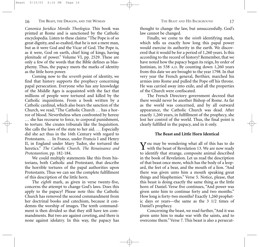*Canonica Juridica Moralis Theologica.* This book was printed at Rome and is sanctioned by the Catholic encyclopedia. Listen to these claims: "The Pope is of so great dignity, and so exalted, that he is not a mere man, but as it were God and the Vicar of God. The Pope is, as it were, God on earth, chief king of kings, having plenitude of power." Volume VI, pp. 2529. These are only a few of the words that the Bible defines as blasphemy. Thus, the papacy meets the marks of identity as the little horn power.

Coming now to the *seventh* point of identity, we find that history supports the prophecy concerning papal persecution. Everyone who has any knowledge of the Middle Ages is acquainted with the fact that millions of people were tortured and killed by the Catholic inquisitions. From a book written by a Catholic cardinal, which also bears the sanction of the Church, we read, "The Catholic Church *…* has a horror of blood. Nevertheless when confronted by heresy … she has recourse to force, to corporal punishment, to torture. She creates tribunals like the Inquisition. She calls the laws of the state to her aid. *…* Especially did she act thus in the 16th Century with regard to Protestants. *…* In France, under Francis I and Henry II, in England under Mary Tudor, she tortured the heretics." *The Catholic Church, The Renaissance and Protestantism,* pp. 182-184.

We could multiply statements like this from historians, both Catholic and Protestant, that describe the horrible tortures of the papal authorities upon Protestants. Thus we can see the complete fulfillment of this description of the little horn.

The *eighth* mark, as given in verse twenty-five, concerns the attempt to change God's laws. Does this apply to the papacy? Please note this: the Catholic Church has removed the second commandment from her doctrinal books and catechism, because it condemns the worship of images. The tenth commandment is then divided so that they still have ten commandments. But two are against coveting, and there is none against idolatry. In this way, the papacy has

thought to change the law, but unsuccessfully. God's law cannot be changed.

Finally, we come to the *ninth* identifying mark, which tells us exactly how long this papal power would exercise its authority in the earth. We discovered that it would be for a period of 1,260 years. Is this according to the record of history? Remember, that we have noted how the papacy began its reign, by order of Justinian, in 538 A.D. By counting down 1,260 years from this date we are brought to the year 1798. In that very year the French general, Berthier, marched his armies into Rome and pulled the Pope off his throne. He was carried away into exile, and all the properties of the Church were confiscated.

The French Directory government decreed that there would never be another Bishop of Rome. As far as the world was concerned, and by all outward appearance, the Catholic Church was dead. After exactly 1,260 years, in fulfillment of the prophecy, she lost her control of the world. Thus, the final point is clearly fulfilled in the papacy, and in it only.

#### **The Beast and Little Horn Identical**

Vou may be wondering what all of this has to do **I** with the beast of Revelation 13. We are now ready to identify that strange, composite animal described in the book of Revelation. Let us read the description of that beast once more, which has the body of a leopard, the feet of a bear, and the mouth of a lion. "And there was given unto him a mouth speaking great things and blasphemies." Verse 5. Notice, please, that this beast is doing exactly the same thing as the little horn of Daniel. Verse five continues, "And power was given unto him to continue forty and two months." How long is forty-two months? Exactly 1,260 prophetic days or years—the same as the 3 1/2 times of Daniel's prophecy.

Concerning the beast, we read further, "And it was given unto him to make war with the saints, and to overcome them." Verse 7. This beast is also a persecut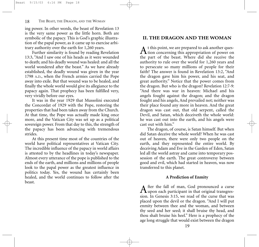ing power. In other words, the beast of Revelation 13 is the very same power as the little horn. Both are symbolic of the papacy. This is God's graphic illustration of the papal power, as it came up to exercise arbitrary authority over the earth for 1,260 years.

Further similarity is found by reading Revelation 13:3, "And I saw one of his heads as it were wounded to death; and his deadly wound was healed: and all the world wondered after the beast." As we have already established, the deadly wound was given in the year 1798 A.D., when the French armies carried the Pope away into exile. But that wound was to be healed, and finally the whole world would give its allegiance to the papacy again. That prophecy has been fulfilled very, very vividly before our eyes.

It was in the year 1929 that Mussolini executed the Concordat of 1929 with the Pope, restoring the properties that had been taken away from the Church. At that time, the Pope was actually made king once more, and the Vatican City was set up as a political sovereign power. From that day to this, the strength of the papacy has been advancing with tremendous strides.

At this present time most of the countries of the world have political representatives at Vatican City. The incredible influence of the papacy in world affairs is attested to by the headlines in today's newspaper. Almost every utterance of the pope is published to the ends of the earth, and millions and millions of people look to the papal power as the greatest influence in politics today. Yes, the wound has certainly been healed, and the world continues to follow after the beast.

# **II. THE DRAGON AND THE WOMAN**

A t this point, we are prepared to ask another ques-<br>tion concerning this appropriation of power on the part of the beast. Where did she receive the authority to rule over the world for 1,260 years and to persecute so many millions of people for their faith? The answer is found in Revelation 13:2, "And the dragon gave him his power, and his seat, and great authority." Notice that the power comes from the dragon. But who is the dragon? Revelation 12:7-9: "And there was war in heaven: Michael and his angels fought against the dragon; and the dragon fought and his angels, And prevailed not; neither was their place found any more in heaven. And the great dragon was cast out, that old serpent, called the Devil, and Satan, which deceiveth the whole world: he was cast out into the earth, and his angels were cast out with him."

The dragon, of course, is Satan himself. But when did Satan deceive the whole world? When he was cast out of heaven, there were only two people on the earth, and they represented the entire world. By deceiving Adam and Eve in the Garden of Eden, Satan led all the world astray and came into temporary possession of the earth. The great controversy between good and evil, which had started in heaven, was now transferred to this planet.

#### **A Prediction of Enmity**

After the fall of man, God pronounced a curse upon each participant in that original transgression. In Genesis 3:15, we read of the curse that was placed upon the devil or the dragon. "And I will put enmity between thee and the woman, and between thy seed and her seed; it shall bruise thy head, and thou shalt bruise his heel." Here is a prophecy of the age long struggle that would exist between the dragon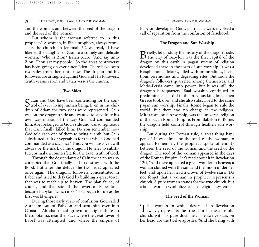and the woman, and between the seed of the dragon and the seed of the woman.

But whom is the woman referred to in this prophecy? A woman, in Bible prophecy, always represents the church. In Jeremiah 6:2 we read, "I have likened the daughter of Zion to a comely and delicate woman." Who is Zion? Isaiah 51:16, "And say unto Zion, Thou art my people." So the great controversy has been going on ever since Eden. There have been two sides from then until now. The dragon and his followers are arraigned against God and His followers. Truth versus error, and Satan versus the church.

#### **Two Sides**

Satan and God have been contending for the con-<br>trol of every living human being. Even in the children of Adam the two sides were represented. Cain was on the dragon's side and wanted to substitute his own way instead of the way God had commanded him. Abel belonged to God's side and was so righteous that Cain finally killed him. Do you remember how God told each one of them to bring a lamb, but Cain substituted fruit or vegetables for that which God had commanded as a sacrifice? This, you will discover, will always be the mark of the dragon. He tries to substitute, or make a counterfeit, for the exact truth of God.

Through the descendants of Cain the earth was so corrupted that God finally had to destroy it with the flood. But after the deluge the two sides appeared once again. The dragon's followers concentrated in Babel and tried to defy God by building a great tower that was to reach up to heaven. The plan failed, of course, and that site of the tower of Babel later became Babylon, which in 606 B.C. began to rule as the first world empire.

During those early years of confusion, God called Abraham out of Babylon and sent him over into Canaan. Abraham had grown up right there in Mesopotamia, near the place where the great tower of Babel was attempted, and where the empire of

Babylon developed. God's plan has always involved a call of separation from the confusion of falsehood.

#### **The Dragon and Sun Worship**

B riefly, let us study the history of the dragon's side.<br>The city of Babylon was the first capital of the dragon on this earth. A pagan system of religion developed there in the form of sun worship. It was a blasphemous idolatry, filled with immoralities, licentious ceremonies and degrading rites. But soon the dragon's followers quarreled among themselves, and Medo-Persia came into power. But it was still the dragon's headquarters. Baal worship continued to predominate as it did in the previous kingdom. Then Greece took over, and she also subscribed to the same pagan sun worship. Finally, Rome began to rule the world. But there was no change in the religion. Mithraism, or sun worship, was the universal religion of the pagan Roman Empire. From Babylon to Rome, the dragon held control through heathen sun worship.

But during the Roman rule, a great thing happened! It was time for the seed of the woman to appear. Remember, the prophecy spoke of enmity between the seed of the woman and the seed of the dragon. The seed of the woman appeared in the days of the Roman Empire. Let's read about it in Revelation 12:1, "And there appeared a great wonder in heaven; a woman clothed with the sun, and the moon under her feet, and upon her head a crown of twelve stars." Do not forget that a woman in prophecy represents a church. A pure woman stands for the true church, but a fallen woman symbolizes a false religious system.

#### **The Seed of the Woman**

This woman in white, described in Revelation twelve, represents the true church, the apostolic church, with its pure doctrines. The twelve stars on her head are the twelve apostles. "And she being with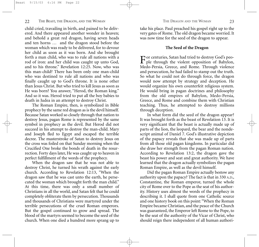child cried, travailing in birth, and pained to be delivered. And there appeared another wonder in heaven; and behold a great red dragon, having seven heads and ten horns … and the dragon stood before the woman which was ready to be delivered, for to devour her child as soon as it was born. And she brought forth a man child, who was to rule all nations with a rod of iron: and her child was caught up unto God, and to his throne." Revelation 12:25. Now, who was this man-child? There has been only one man-child who was destined to rule all nations and who was finally caught up to God's throne. It is none other than Jesus Christ. But who tried to kill Jesus as soon as He was born? You answer, "Herod, the Roman king." And so it was. Herod tried to put all the boy babies to death in Judea in an attempt to destroy Christ.

The Roman Empire, then, is symbolized in Bible prophecy by the same red dragon as is the devil himself. Because Satan worked so closely through that nation to destroy Jesus, pagan Rome is represented by the same symbol in prophecy as the devil. But Herod did not succeed in his attempt to destroy the man-child. Mary and Joseph fled to Egypt and escaped the terrible decree. The masterstroke of Satan to destroy Jesus on the cross was foiled on that Sunday morning when the Crucified One broke the bonds of death in the resurrection. Forty days later, He was caught up to heaven in perfect fulfillment of the words of the prophecy.

When the dragon saw that he was not able to destroy Christ, he turned his wrath against the early church. According to Revelation 12:13, "When the dragon saw that he was cast unto the earth, he persecuted the woman which brought forth the man child." At this time, there was only a small number of Christians in all the world, and Satan felt that he could completely obliterate them by persecution. Thousands and thousands of Christians were martyred under the terrible persecutions of the cruel Roman emperors. But the gospel continued to grow and spread. The blood of the martyrs seemed to become the seed of the church. When one died a hundred more sprang up to

take his place. Paul preached his gospel right up to the very gates of Rome. The old dragon became worried. It was now time for the seed of the dragon to appear.

#### **The Seed of the Dragon**

For centuries, Satan had tried to destroy God's peo-ple through the violent opposition of Babylon, Medo-Persia, Greece, and Rome. Through violence and persecution, he had failed to stamp out the truth. So what he could not do through force, the dragon would now attempt by strategy and deception. He would organize his own counterfeit religious system. He would bring in pagan doctrines and philosophy from the old empires of Babylon, Medo-Persia, Greece, and Rome and combine them with Christian teaching. Thus, he attempted to destroy millions through deception.

In what form did the seed of the dragon appear? It was brought forth as the beast of Revelation 13. It is very significant that the beast is actually made up of parts of the lion, the leopard, the bear and the nondescript animal of Daniel 7. God's illustrative depiction of the papacy reveals that she was made up of parts from all those old pagan kingdoms. In particular did she draw her strength from the pagan Roman nation. According to Revelation 13:2, the dragon gave the beast his power and seat and great authority. We have learned that the dragon actually symbolizes the pagan Roman Empire, as well as the devil himself.

Did the pagan Roman Empire actually bestow any authority upon the papacy? The fact is that in 330 A.D., Constantine, the Roman emperor, turned the whole city of Rome over to the Pope as the seat of his authority. History uses almost the words of the prophecy in describing it. I shall quote from one Catholic source and one history book on this point: "When the Roman Empire became Christian, and the peace of the Church was guaranteed, the Emperor left Rome to the Pope, to be the seat of the authority of the Vicar of Christ, who should reign there independent of all human authori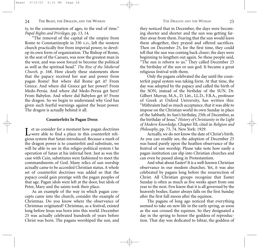ty, to the consummation of ages, to the end of time." *Papal Rights and Privileges,* pp. 13, 14.

"The removal of the capital of the empire from Rome to Constantinople in 330 A.D., left the western church practically free from imperial power, to develop its own form of organization. The Bishop of Rome, in the seat of the Caesars, was now the greatest man in the west, and was soon forced to become the political as well as the spiritual head." *The Rise of the Medieval Church,* p. 168. How clearly these statements show that the papacy received her seat and power from pagan Rome! But where did Rome get it? From Greece. And where did Greece get her power? From Medo-Persia. And where did Medo-Persia get hers? From Babylon. And where did Babylon get it? From the dragon. So we begin to understand why God has given such fearful warnings against the beast power. The dragon is actually behind it all.

#### **Counterfeits In Pagan Dress**

 $\mathbf{T}$  et us consider for a moment how pagan doctrines L were able to find a place in this counterfeit religious system that Satan introduced. Because a mark of the dragon power is to counterfeit and substitute, we will be able to see in this religio-political system t he operation of Satan at his infernal best. Just as was the case with Cain, substitutes were fashioned to meet the commandments of God. Many relics of sun worship actually came to be accorded Christian status. A whole set of counterfeit doctrines was added so that the papacy could gain prestige with the pagan peoples of that age. Pagan idols were left at the door, but idols of Peter, Mary and the saints took their place.

As an example of the way in which pagan concepts came into the church, consider the example of Christmas. Do you know where the observance of Christmas originated? Christmas, as a festival, existed long before Jesus was born into this world. December 25 was actually celebrated hundreds of years before Christ was born. The pagans worshiped the sun, and

they noticed that in December, the days were becoming shorter and shorter and the sun was getting farther away from them. Fearing that the sun would leave them altogether, they prayed and offered sacrifices. Then on December 25, for the first time, they could tell that the sun was coming back closer; the days were beginning to lengthen out again. So these people said, "The sun is reborn to us." They called December 25 the birthday of the sun or sun god. It became a great religious festival with them.

Only the pagans celebrated the day until the counterfeit papal system was taking form. At that time, the day was adopted by the papacy and called the birth of the SON, instead of the birthday of the SUN. Dr. Gilbert Murray, M.A., D. Litt., LL.D., F.B.A., professor of Greek at Oxford University, has written this: "Mithraism had so much acceptance, that it was able to impose on the Christian world its own Sunday in place of the Sabbath; its Sun's birthday, 25th of December, as the birthday of Jesus."*History of Christianity in the Light of Modern Knowledge,* Chapter III; cited in *Religion and Philosophy,* pp. 73, 74. New York: 1929.

Actually, we do not know the date of Christ's birth. As you can readily see, the adoption of December 25 was based purely upon the heathen observance of the festival of sun worship. Please take note how easily a pagan institution can slip into Christian churches and can even be passed along in Protestantism.

And what about Easter? It is a well-known Christian observance in our modem churches. Yet, it was also celebrated by pagans long before the resurrection of Christ. All Christian groups recognize that Easter Sunday is often as much as five weeks apart from one year to the next. Few know that it is all governed by the heavenly bodies. Easter always falls on the first Sunday after the first full moon after the equinox.

The pagans of long ago noticed that everything seemed to take on new life in the early spring, as soon as the sun crossed the equinox. So they designated a day in the spring to honor the goddess of reproduction. That day was dedicated to Ishtar, the goddess of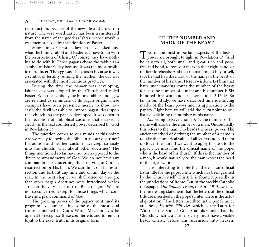reproduction, because of the new life and growth in nature. The very word Easter has been transliterated from the name of the goddess Ishtar, whose worship was memorialized by the adoption of Easter.

Many times Christian laymen have asked just what the bunny rabbit and Easter egg have to do with the resurrection of Christ. Of course, they have nothing to do with it. Those pagans chose the rabbit as a symbol of Ishtar's day because it was the most prolific reproducer. The egg was also chosen because it was a symbol of fertility. Among the heathen, the day was associated with the most licentious practices.

During the time the papacy was developing, Ishtar's day was adopted by the Church and called Easter. Even the symbols, the bunny rabbits and eggs, are retained as reminders of its pagan origin. These examples have been presented merely to show how easily the devil was able to impose pagan ideas upon that church. As the papacy developed, it was open to the reception of unbiblical customs that marked it clearly as the real counterfeit power described by God in Revelation 13.

The question comes to our minds at this point: Are we really following the Bible in all our doctrines? If tradition and heathen custom have crept so easily into the church, what about other doctrines? The things mentioned so far have not been opposed to the direct commandments of God. We do not have any commandments concerning the observing of Christ's resurrection or His birth. We can think of His resurrection and birth at any time and on any day of the year. In the next chapter we shall discover, though, that other pagan doctrines were introduced which strike at the very heart of true Bible religion. We are not so concerned, except for those things which contravene a plain command of God.

The growing power of the papacy continued its program by counterfeiting some of the most vital truths contained in God's Word. May our eyes be opened to recognize these counterfeits and to remain loyal to the exact truth in its original form.

## **III. THE NUMBER AND MARK OF THE BEAST**

Two of the most important aspects of the beast's<br>power are brought to light in Revelation 13: "And he causeth all, both small and great, rich and poor, free and bond, to receive a mark in their right hand, or in their foreheads: And that no man might buy or sell, save he that had the mark, or the name of the beast, or the number of his name. Here is wisdom. Let him that hath understanding count the number of the beast: for it is the number of a man; and his number is Six hundred threescore and six." Revelation 13:16-18. So far in our study, we have described nine identifying marks of the beast power and its application to the papacy. Right here we will add the *tenth* point to our list by explaining the number of his name.

According to Revelation 13:17, the number of his name will also be the number of a man. Undoubtedly this refers to the man who heads the beast power. The ancient method of deriving the number of a name is to take the numerical value of all letters and add them up to get the sum. If we want to apply this test to the papacy, we must find the official name of the pope, who is the head of his church. If this is the number of a man, it would naturally be the man who is the head of the organization.

It is interesting to note that there is an official Latin title for the pope, a title which has been granted by the Church itself. This title is found repeatedly in the publications of Rome. But in the weekly Catholic newspaper, *Our Sunday Visitor*, of April 1915, we have the interesting statement that the letters of the official title are inscribed in the pope's miter. Here is the actual quotation: "The letters inscribed in the pope's miter are these; *Vicarius Filii Dei,* which is the Latin for 'Vicar of the Son of God.' Catholics hold that the Church, which is a visible society, must have a visible head; Christ, before His ascension into heaven,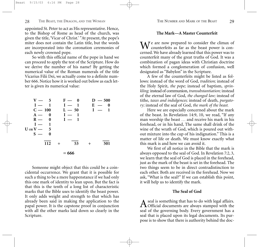appointed St. Peter to act as His representative. Hence, to the Bishop of Rome as head of the church, was given the title, 'Vicar of Christ.' "At present, the pope's miter does not contain the Latin title, but the words are incorporated into the coronation ceremonies of each newly crowned pope.

So with this official name of the pope in hand we can proceed to apply the test of the Scripture. How do we derive the number of his name? By getting the numerical value of the Roman numerals of the title Vicarius Filii Dei, we actually come to a definite number 666. Notice how it is worked out below as each letter is given its numerical value:

| $V = 5$<br>$I = 1$<br>$C = 100$<br>$A = 0$<br>$\mathbf{0}$<br>$R -$ |  | $F = 0$<br>$I - 1$<br>$L - 50$<br>$I = 1$<br>$I - 1$ |       | $D = 500$<br>$E =$<br>$\bf{0}$<br>$I =$<br>1 |  |
|---------------------------------------------------------------------|--|------------------------------------------------------|-------|----------------------------------------------|--|
| $\mathbf{1}$<br>$I -$<br>$U$ or $V - 5$<br>$s =$<br>0               |  |                                                      |       |                                              |  |
| 112                                                                 |  | 53                                                   | $\pm$ | 501                                          |  |
| $= 666$                                                             |  |                                                      |       |                                              |  |

Someone might object that this could be a coincidental occurrence. We grant that it is possible for such a thing to be a mere happenstance if we had only this one mark of identity to lean upon. But the fact is that this is the tenth of a long list of characteristic marks that the Bible uses to identify the beast power. It only adds weight and strength to that which has already been said in making the application to the papal power. It is the capstone proof in conjunction with all the other marks laid down so clearly in the Scripture.

#### **The Mark—A Master Counterfeit**

We are now prepared to consider the climax of counterfeits as far as the beast power is concerned. We have already learned that this power was to counterfeit many of the great truths of God. It was a combination of pagan ideas with Christian doctrine which formed a conglomeration of confusion, well designated as "Babylon" in the Scripture.

A few of the counterfeits might be listed as follows: instead of the word of God, *tradition;* instead of the Holy Spirit, *the pope;* instead of baptism, *sprinkling;* instead of communion, *transubstantiation;* instead of the eternal law of God, *the changed law;* instead of tithe, *taxes and indulgences;* instead of death, *purgatory;* instead of the seal of God, *the mark of the beast.*

Here we are especially concerned about the mark of the beast. In Revelation 14:9, 10, we read, "If any man worship the beast *…* and receive his mark in his forehead, or in his hand, The same shall drink of the wine of the wrath of God, which is poured out without mixture into the cup of his indignation." This is a matter of life or death. We must know exactly what this mark is and how we can avoid it.

We first of all notice in the Bible that the mark is always opposed to the seal of God. In Revelation 7:2, 3, we learn that the seal of God is placed in the forehead, just as the mark of the beast is set in the forehead. The two things seem to be in direct contradistinction to each other. Both are received in the forehead. Now we ask, "What is the seal?" If we can establish this point, it will help us to identify the mark.

#### **The Seal of God**

A seal is something that has to do with legal affairs.<br>A Official documents are always stamped with the seal of the governing body. Every government has a seal that is placed upon its legal documents. Its purpose is to show that there is authority behind the doc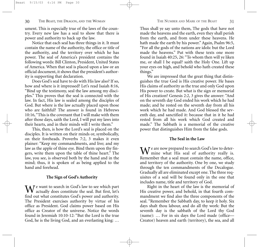ument. This is especially true of the laws of the country. Every new law has a seal to show that there is power and authority to back up the law.

Notice that each seal has three things in it. It must contain the name of the authority, the office or title of the authority, and the territory over which he has power. The seal of America's president contains the following words: Bill Clinton, President, United States of America. When that seal is placed upon a law or an official document, it shows that the president's authority is supporting that declaration.

Does God's seal have to do with His law also? If so, how and where is it impressed? Let's read Isaiah 8:16, "Bind up the testimony, seal the law among my disciples." This proves that the seal is connected with the law. In fact, His law is sealed among the disciples of God. But where is the law actually placed upon those who are faithful? The answer is found in Hebrews 10:16,"This is the covenant that I will make with them after those days, saith the Lord, I will put my laws into their hearts, and in their minds will I write them."

This, then, is how the Lord's seal is placed on the disciples. It is written on their minds or, symbolically, on their foreheads. Proverbs 7:2, 3 makes it even plainer: "Keep my commandments, and live; and my law as the apple of thine eye. Bind them upon thy fingers, write them upon the table of thine heart." The law, you see, is observed both by the hand and in the mind; thus, it is spoken of as being applied to the hand and forehead.

#### **The Sign of God's Authority**

We want to search in God's law to see which part<br>actually does constitute the seal. But first, let's find out what constitutes God's power and authority. The President exercises authority by virtue of his office as President. God claims power based on His office as Creator of the universe. Notice the words found in Jeremiah 10:10-12: "But the Lord is the true God, he is the living God, and an everlasting king: …

from the earth, and from under these heavens. He hath made the earth by his power." Again, Psalm 96:5, "For all the gods of the nations are idols: but the Lord made the heavens." Put with these texts one more found in Isaiah 40:25, 26: "To whom then will ye liken me, or shall I be equal? saith the Holy One. Lift up your eyes on high, and behold who hath created these things."

We are impressed that the great thing that distinguishes the true God is His creative power. He bases His claims of authority as the true and only God upon His power to create. But what is the sign or memorial of His creation? Genesis 2:2, 3 gives the answer: "And on the seventh day God ended his work which he had made; and he rested on the seventh day from all his work which he had made. And God blessed the seventh day, and sanctified it: because that in it he had rested from all his work which God created and made." The Sabbath is a memorial of the creative power that distinguishes Him from the false gods.

#### **The Seal in the Law**

We are now prepared to search God's law to deter-<br>mine what His seal of authority really is. Remember that a seal must contain the name, office, and territory of the authority. One by one, we study through the ten commandments of the Decalogue. Gradually all are eliminated except one. The three requisites of a seal will be found only in the one that includes name, title and territory of God.

Right in the heart of the law is the memorial of His creative power, and behold, in that fourth commandment we find also the three components of the seal. "Remember the Sabbath day, to keep it holy. Six days shalt thou labour, and do all thy work: But the seventh day is the sabbath of the Lord thy God (name): … For in six days the Lord made (office— Creator) heaven and earth (territory), the sea, and all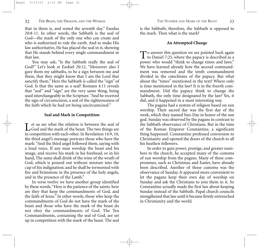that in them is, and rested the seventh day." Exodus 20:8-11. In other words, the Sabbath is the seal of God—the mark of the only one who can create and who is authorized to rule the earth. And to make His law authoritative, He has placed the seal in it, showing that He stands behind every single commandment in that law.

You may ask, "Is the Sabbath really the seal of God?" Let's look at Ezekiel 20:12, "Moreover also I gave them my sabbaths, to be a sign between me and them, that they might know that I am the Lord that sanctify them." Here the Sabbath is called the "sign" of God. Is that the same as a seal? Romans 4:11 reveals that "seal" and "sign" are the very same thing, being used interchangeably in the Scripture."And he received the sign of circumcision, a seal of the righteousness of the faith which he had yet being uncircumcised."

#### **Seal and Mark in Competition**

Let us see what the relation is between the seal of<br>God and the mark of the beast. The two things are in competition with each other. In Revelation 14:9, 10, the third angel's message portrays those who have the mark: "And the third angel followed them, saying with a loud voice, If any man worship the beast and his image, and receive his mark in his forehead, or in his hand, The same shall drink of the wine of the wrath of God, which is poured out without mixture into the cup of his indignation; and he shall be tormented with fire and brimstone in the presence of the holy angels, and in the presence of the Lamb."

In verse twelve we have another group identified by these words,"Here is the patience of the saints: here are they that keep the commandments of God, and the faith of Jesus." In other words, those who keep the commandments of God do not have the mark of the beast and those who have the mark of the beast do not obey the commandments of God. The Ten Commandments, containing the seal of God, are set up in competition with the mark of the beast. The seal

is the Sabbath; therefore, the Sabbath is opposed to the mark. Then what is the mark?

#### **An Attempted Change**

To answer this question we are pointed back again<br>to Daniel 7:25, where the papacy is described as a power who would "think to change times and laws." We have learned already how the second commandment was removed and the tenth commandment divided in the catechisms of the papacy. But what about the "times" mentioned in the text? Where only is time mentioned in the law? It is in the fourth commandment. Did the papacy think to change the Sabbath, the only time designated by the law? Yes, it did, and it happened in a most interesting way.

The pagans had a system of religion based on sun worship. Their sacred day was the first day of the week, which they named Sun-Day in honor of the sun god. Sunday was observed by the pagans in contrast to the Sabbath observance of Christians. But in the time of the Roman Emperor Constantine, a significant thing happened. Constantine professed conversion to Christianity and opened the doors of the church to all his heathen followers.

In order to gain power, prestige, and greater numbers to the church, he accepted many of the customs of sun worship from the pagans. Many of these compromises, such as Christmas and Easter, have already been described. Another of those customs was the observance of Sunday. It appeared more convenient to let the pagans keep their own day of worship on Sunday and ask the Christians to join them in it. So Constantine actually made the first law about keeping Sunday instead of the Sabbath. Papal church councils strengthened that law until it became firmly entrenched in Christianity and the world.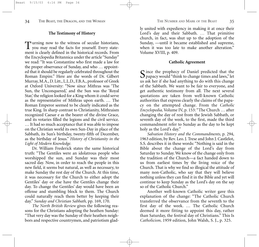#### **The Testimony of History**

Turning now to the witness of secular historians, you may read the facts for yourself. Every statement is clearly defined in the historical records. From the Encyclopedia Britannica under the article "Sunday" we read: "It was Constantine who first made a law for the proper observance of Sunday, and who … appointed that it should be regularly celebrated throughout the Roman Empire." Here are the words of Dr. Gilbert Murray, M.A., D. Litt., L.L.D., F.B.A., professor of Greek at Oxford University: "Now since Mithras was 'The Sun, the Unconquered,' and the Sun was the 'Royal Star,' the religion looked for a King whom it could serve as the representative of Mithras upon earth. … The Roman Emperor seemed to be clearly indicated as the true King. In sharp contrast to Christianity, Mithraism recognized Caesar e as the bearer of the divine Grace, and its votaries filled the legions and the civil service. … It had so much acceptance that it was able to impose on the Christian world its own Sun-Day in place of the Sabbath, its Sun's birthday, twenty-fifth of December, as the birthday of Jesus." *History of Christianity in the Light of Modern Knowledge.*

Dr. William Frederick states the same historical truth: "The Gentiles were an idolatrous people who worshipped the sun, and Sunday was their most sacred day. Now, in order to reach the people in this new field, it seems but natural, as well as necessary, to make Sunday the rest day of the Church. At this time, it was necessary for the Church to either adopt the Gentiles' day or else have the Gentiles change their day. To change the Gentiles' day would have been an offense and stumbling block to them. The Church could naturally reach them better by keeping their day." *Sunday and Christian Sabbath,* pp. 169, 170.

*The North British Review* gives the following reasons for the Christians adopting the heathen Sunday: "That very day was the Sunday of their heathen neighbors and respective countrymen, and patriotism gladly united with expediency in making it at once their Lord's day and their Sabbath. *…* That primitive church, in fact, was shut up to the adoption of the Sunday, —until it became established and supreme, when it was too late to make another alteration." Volume XVIII, p. 409.

#### **Catholic Agreement**

Since the prophecy of Daniel predicted that the<br>papacy would "think to change times and laws," let us ask her if she had anything to do with this change of the Sabbath. We want to be fair to everyone, and get authentic testimony from all. The next several quotations are taken from well-known Catholic authorities that express clearly the claims of the papacy on the attempted change. From the *Catholic Encyclopedia,* Volume IV, p. 153: "The Church … after changing the day of rest from the Jewish Sabbath, or seventh day of the week, to the first, made the third commandment refer to Sunday as the day to be kept holy as the Lord's day."

*Salvation History and the Commandments,* p. 294, 1963 edition, by Rev. Leo. J. Trese and John J. Castlelot, S.S. describes it in these words: "Nothing is said in the Bible about the change of the Lord's day from Saturday to Sunday. We know of the change only from the tradition of the Church—a fact handed down to us from earliest times by the living voice of the Church. That is why we find so illogical the attitude of many non-Catholic, who say that they will believe nothing unless they can find it in the Bible and yet will continue to keep Sunday as the Lord's day on the say so of the Catholic Church."

Another well-known Catholic writer gave this explanation of the change: "The Catholic Church transferred the observance from the seventh to the first day of the week. … The Catholic Church deemed it more fitting to appoint this day, rather than Saturday, the festival day of Christians." This Is *Catholicism,* 1959 edition, John Walsh, S. J., p. 325.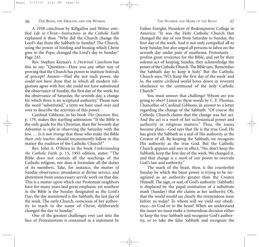A 1958 catechism by Killgallen and Weber entitled *Life in Christ—Instructions in the Catholic Faith* explained it thus: "Why did the Church change the Lord's day from the Sabbath to Sunday? The Church, using the power of binding and loosing which Christ gave to the Pope, changed the Lord's day to Sunday." Page 243.

Rev. Stephen Keenan's *A Doctrinal Catechism* has this to say: "Question—Have you any other way of proving that the Church has power to institute festivals of precept? Answer—Had she not such power, she could not have done that in which all modern religionists agree with her; she could not have substituted the observance of Sunday, the first day of the week, for the observance of Saturday, the seventh day, a change for which there is no scriptural authority." Please note the word "substituted," a term we have used over and over to describe the activities of this power.

Cardinal Gibbons, in his book *The Question Box,* p. 179, makes this startling admission: "If the Bible is the only guide for the Christian, then the Seventh-day Adventist is *right* in observing the Saturday with the Jew. *…* Is it not *strange* that those who make the Bible their *only teacher,* should inconsistently follow in this matter the *tradition* of the Catholic Church?"

Rev. John A. O'Brien in the book *Understanding the Catholic Faith,* p. 13, 1955 edition, states: "The Bible does not contain all the teachings of the Catholic religion, nor does it formulate all the duties of its members. Take, for instance, the matter of Sunday observance, attendance at divine service, and abstention from unnecessary servile work on that day. This is a matter upon which our Protestant neighbors have for many years laid great emphasis; yet nowhere in the Bible is the Sunday designated as the Lord's Day; the day mentioned is the Sabbath, the last day of the week. The early Church, conscious of her authority to teach in the name of Christ, deliberately changed the day to Sunday."

One of the greatest challenges ever cast into the face of Protestantism is contained in a statement by

Father Enright, President of Redemptorist College in America: "It was the Holy Catholic Church that changed the day of rest from Saturday to Sunday, the first day of the week. And it not only compelled all to keep Sunday, but also urged all persons to labor on the seventh day under pain of anathema. Protestants *…* profess great reverence for the Bible, and yet by their solemn act of keeping Sunday, they acknowledge the power of the Catholic Church.The Bible says,'Remember the Sabbath day to keep it holy.' But the Catholic Church says, 'NO: Keep the first day of the week' and lo, the entire civilized world bows down in reverent obedience to the command of the holy Catholic Church."

You must answer that challenge! Whom are you going to obey? Listen to these words by C. F. Thomas, Chancellor of Cardinal Gibbons, in answer to a letter regarding the change of the Sabbath: "Of course the Catholic Church claims that the change was her act. And the act is a *mark* of her ecclesiastical power and authority in religious matters." Thus, the issues become plain—God says that He is the true God: He has given the Sabbath as a seal of His authority as the Creator of all. By keeping the Sabbath, we recognize His authority as the true God. But the Catholic Church appears and says in effect, "No, don't keep the Sabbath; keep the first day of the week. We changed it, and that change is a *mark* of our power to overrule God's law and authority."

The mark of the beast, then, is the counterfeit Sunday by which the beast power is trying to be recognized as an authority greater than the Creator Himself. The sign, or seal, of God's authority (Sabbath) is displaced by the papal institution of a substitute mark (Sunday) that she claims as her authority. Oh, that the world would see clearly the tremendous issue before us today! To whom will we yield our obedience—to God or to the beast? When we understand the issues we must make a tremendous decision either to keep the true Sabbath and recognize God's authority, or to take the false Sabbath and recognize the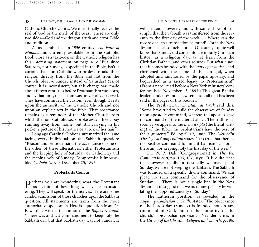Catholic Church's claims. We must finally receive the seal of God or the mark of the beast. There are only two sides—God and the dragon, truth and error, Bible and tradition.

A book published in 1956 entitled *The Faith of Millions* and currently available from the Catholic Book Store as a textbook on the Catholic religion has this interesting statement on page 473: "But since Saturday, not Sunday, is specified in the Bible, isn't it curious that non-Catholic who profess to take their religion directly from the Bible and not from the Church, observe Sunday instead of Saturday? Yes, of course, it is inconsistent; but this change was made about fifteen centuries before Protestantism was born, and by that time, the custom was universally observed. They have continued the custom, even though it rests upon the authority of the Catholic Church and not upon an explicit text in the Bible. That observance remains as a reminder of the Mother Church from which the non-Catholic sects broke away—like a boy running away from home, but still carrying in his pocket a picture of his mother or a lock of her hair."

Long ago Cardinal Gibbons summarized the issue facing every individual on the Sabbath question: "Reason and sense demand the acceptance of one or the other of these alternatives: either Protestantism and the keeping holy of Saturday, or Catholicity and the keeping holy of Sunday. Compromise is impossible." *Catholic Mirror,* December 23, 1893.

#### **Protestants Concur**

Perhaps you are wondering what the Protestant<br>bodies think of these things we have been considering. They will speak for themselves. Here are some candid admissions of those churches upon the Sabbath question. All statements are taken from the most authoritative spokesmen. Here is a quotation from Dr. Edward T. Hiscox, the author of the *Baptist Manual:* "There was and is a commandment to keep holy the Sabbath day, but that Sabbath day was not Sunday. It will be said, however, and with some show of triumph, that the Sabbath was transferred from the seventh to the first day of the week. *…* Where can the record of such a transaction be found? Not in the New Testament—absolutely not. *…* Of course, I quite well know that Sunday did come into use in early Christian history as a religious day, as we learn from the Christian Fathers, and other sources. But *what a pity* that it comes branded with the *mark of paganism,* and christened with the name of the sun god, when adopted and sanctioned by the papal apostasy, and bequeathed as a sacred legacy to Protestantism!" (From a paper read before a New York ministers' conference held November 13, 1893.) This great Baptist leader condenses into a few sentences all that has been said in the pages of this booklet.

The Presbyterian *Christian at Work* said this: "Some have tried to build the observance of Sunday upon apostolic command, whereas the apostles gave no command on the matter at all. *…* The truth is, as soon as we appeal to the *litera scripta* (the literal writing) of the Bible, the Sabbatarians have the best of the arguments." Ed. April 19, 1883. The *Methodist Theological Compendium* states: "It is true that there is no positive command for infant baptism *…* nor is there any for keeping holy the first day of the week."

Dr. W. R. Dale (Congregational) in *The Ten Commandments,* pp. 106, 107, says: "It is quite clear that however rigidly or devotedly we may spend Sunday, we are not keeping the Sabbath. The Sabbath was founded on a specific, divine command. We can plead no such command for the observance of Sunday. … There is not a single line in the New Testament to suggest that we incur any penalty by violating the supposed sanctity of Sunday."

The Lutheran position, as revealed in the *Augsburg Confession of Faith,* states: "The observance of the Lord's day (Sunday) is founded not on any command of God, but on the authority of the church." Episcopalian spokesman Neander writes in the *History of the Christian Religion and Church,* p. 186: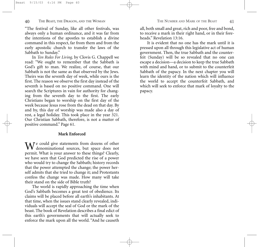"The festival of Sunday, like all other festivals, was always only a human ordinance, and it was far from the intentions of the apostles to establish a divine command in this respect, far from them and from the early apostolic church to transfer the laws of the Sabbath to Sunday."

In *Ten Rules For Living,* by Clovis G. Chappell we read: "We ought to remember that the Sabbath is God's gift to man. We realize, of course, that our Sabbath is not the same as that observed by the Jews. Theirs was the seventh day of week, while ours is the first. The reason we observe the first day instead of the seventh is based on no positive command. One will search the Scriptures in vain for authority for changing from the seventh day to the first. The early Christians began to worship on the first day of the week because Jesus rose from the dead on that day. By and by, this day of worship was made also a day of rest, a legal holiday. This took place in the year 321. Our Christian Sabbath, therefore, is not a matter of positive command." Page 61.

#### **Mark Enforced**

We could give statements from dozens of other denominational sources, but space does not permit. What is your answer to these things? Clearly, we have seen that God predicted the rise of a power who would try to change the Sabbath; history records that the power attempted the change; the power herself admits that she tried to change it; and Protestants confess the change was made. How many will take their stand on the side of Bible truth?

The world is rapidly approaching the time when God's Sabbath becomes a great test of obedience. Its claims will be placed before all earth's inhabitants. At that time, when the issues stand clearly revealed, individuals will accept the seal of God or the mark of the beast. The book of Revelation describes a final edict of this earth's governments that will actually seek to enforce the mark upon all the world. "And he causeth

all, both small and great, rich and poor, free and bond, to receive a mark in their right hand, or in their foreheads." Revelation 13:16.

It is evident that no one has the mark until it is pressed upon all through this legislative act of human government. Then, the true Sabbath and the counterfeit (Sunday) will be so revealed that no one can escape a decision—a decision to keep the true Sabbath with mind and hand, or to submit to the counterfeit Sabbath of the papacy. In the next chapter you will learn the identity of the nation which will influence the world to accept the counterfeit Sabbath, and which will seek to enforce that mark of loyalty to the papacy.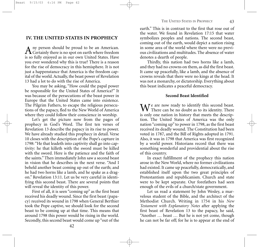## **IV. THE UNITED STATES IN PROPHECY**

A ny person should be proud to be an American.<br>Certainly there is no spot on earth where freedom is so fully enjoyed as in our own United States. Have you ever wondered why this is true? There is a reason for the rise of democracy in this hemisphere. It is not just a happenstance that America is the freedom capital of the world. Actually, the beast power of Revelation 13 had a lot to do with the rise of America.

You may be asking, "How could the papal power be responsible for the United States of America?" It was because of the persecutions of the beast power in Europe that the United States came into existence. The Pilgrim Fathers, to escape the religious persecutions of the papacy, fled to the New World of America where they could follow their conscience in worship.

Let's get the picture now from the pages of prophecy in God's Word. The first ten verses of Revelation 13 describe the papacy in its rise to power. We have already studied this prophecy in detail. Verse 10 closes with the description of the Pope's capture in 1798: "He that leadeth into captivity shall go into captivity: he that killeth with the sword must be killed with the sword. Here is the patience and the faith of the saints." Then immediately John saw a second beast in vision that he describes in the next verse. "And I beheld another beast coming up out of the earth; and he had two horns like a lamb, and he spake as a dragon." Revelation 13:11. Let us be very careful in identifying this second beast. There are several points that will reveal the identity of this power.

First of all, it is seen "coming up" as the first beast received his deadly wound. Since the first beast (papacy) received its wound in 1798 when General Berthier took the Pope captive, we should look for the second beast to be coming up at that time. This means that around 1798 this power would be rising in the world. Secondly, this second beast would come up "out of the

earth." This is in contrast to the first that rose out of the water. We found in Revelation 17:15 that water symbolizes peoples and nations. The second beast, coming out of the earth, would depict a nation rising in some area of the world where there were no previous civilizations and multitudes. The absence of water denotes a dearth of people.

Thirdly, this nation had two horns like a lamb, and they had no crowns on them, as did the first beast. It came up peacefully, like a lamb, and the absence of crowns reveals that there were no kings at the head. It was not a monarchy, or dictatorship. Everything about this beast indicates a peaceful democracy.

#### **Second Beast Identified**

 $\mathbf{W}$  are now ready to identify this second beast.  $\mathsf{V} \mathsf{V}$  There can be no doubt as to its identity. There is only one nation in history that meets the description. The United States of America was the only nation "coming up" to power in 1798, as the first beast received its deadly wound. The Constitution had been voted in 1787, and the Bill of Rights adopted in 1791. Also, it was in 1798 that America was first recognized by a world power. Historians record that there was something wonderful and providential about the rise of this country.

In exact fulfillment of the prophecy this nation arose in the New World, where no former civilizations had existed. It came up peacefully, democratically, and established itself upon the two great principles of Protestantism and republicanism. Church and state were to be kept separate. Our forefathers had seen enough of the evils of a church/state government.

Let us read a statement by John Wesley, a marvelous student of the Bible, and the architect of the Methodist Church. Writing in 1754 in his *New Testament with Explanatory Notes* after applying the first beast of Revelation 13 to the papacy, he said, "Another … beast … But he is not yet come, though he can not be far off; for he is to appear at the end of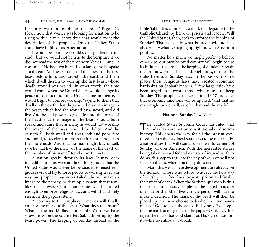the forty-two months of the first beast." Page 427. Please note that Wesley was looking for a nation to be rising within a very short time that would meet the description of the prophecy. Only the United States could have fulfilled his expectation.

It would be good if we could stop right here in our study, but we would not be true to the Scripture if we did not read the rest of the prophecy. Verses 11 and 12 continue: "He had two horns like a lamb, and he spake as a dragon. And he exerciseth all the power of the first beast before him, and causeth the earth and them which dwell therein to worship the first beast, whose deadly wound was healed." In other words, the time would come when the United States would change its peaceful, democratic tone. Under some influence, it would begin to compel worship, "saying to them that dwell on the earth, that they should make an image to the beast, which had the wound by a sword, and did live. And he had power to give life unto the image of the beast, that the image of the beast should both speak, and cause that as many as would not worship the image of the beast should be killed. And he causeth all, both small and great, rich and poor, free and bond, to receive a mark in their right hand, or in their foreheads: And that no man might buy or sell, save he that had the mark, or the name of the beast, or the number of his name." Revelation 13:14-17.

A nation speaks through its laws. It may seem incredible to us as we read these things today that the United States would ever be persuaded to enact religious laws, and try to force people to worship a certain way, but prophecy has never failed. She will make an image to the papacy, or develop a system that resembles that power. Church and state will be united enough to enforce religious laws and will thus closely resemble the papal system.

According to the prophecy, America will finally enforce the mark of the beast. What does this mean? What is the mark? Based on God's Word we have shown it to be the counterfeit Sabbath set up by the beast power. The keeping of Sunday instead of the

Bible Sabbath is claimed as a mark of allegiance to the Catholic Church by her own priests and leaders. Will the United States, then, seek to enforce the keeping of Sunday? That is exactly what is predicted, and it is also exactly what is shaping up right now in American politics.

No matter how much we might prefer to believe otherwise, our own beloved country will begin to use its influence to compel the keeping of Sunday. Already the groundwork has been laid. Right now, most of the states have such Sunday laws on the books. In some places these religious laws have created economic hardships on Sabbathkeepers. A few large cities have been urged to boycott those who refuse to keep Sunday. The prophecy in Revelation 13:17 indicates that economic sanctions will be applied, "and that no man might buy or sell, save he that had the mark."

#### **National Sunday Law Near**

The United States Supreme Court has ruled that Sunday laws are not unconstitutional or discriminatory. This opens the way for all the present confused, contradictory local state laws to be replaced by a national law that will standardize the enforcement of Sunday all over America. With the incredible strides being taken toward federal control of individual freedoms, this step to regulate the day of worship will not seem so drastic when it actually does take place.

Mark this well: These developments are already on the horizon. Those who refuse to accept the false day of worship will face fines, boycott, prison and finally, the threat of death. When the Sabbath question is thus made a national issue, people will be forced to accept one side or the other. Every single person will have to make a decision. The mark of the beast will then be placed upon all who choose to disobey the commandment of God to keep the Sabbath day holy. By accepting the mark of allegiance to the papacy (Sunday), they reject the mark that God claims as His sign of authority—the seventh-day Sabbath.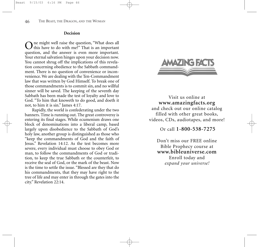#### **Decision**

One might well raise the question, "What does all this have to do with me?" That is an important question, and the answer is even more important. Your eternal salvation hinges upon your decision now. You cannot shrug off the implications of this revelation concerning obedience to the Sabbath commandment. There is no question of convenience or inconvenience. We are dealing with the Ten-Commandment law that was written by God Himself. To break one of those commandments is to commit sin, and no willful sinner will be saved. The keeping of the seventh day Sabbath has been made the test of loyalty and love to God. "To him that knoweth to do good, and doeth it not, to him it is sin." James 4:17.

Rapidly, the world is confederating under the two banners. Time is running out. The great controversy is entering its final stages. While ecumenism draws one block of denominations into a liberal camp, based largely upon disobedience to the Sabbath of God's holy law, another group is distinguished as those who "keep the commandments of God and the faith of Jesus." Revelation 14:12. As the test becomes more severe, every individual must choose to obey God or man, to follow the commandments of God or tradition, to keep the true Sabbath or the counterfeit, to receive the seal of God, or the mark of the beast. Now is the time to settle the issue. "Blessed are they that do his commandments, that they may have right to the tree of life and may enter in through the gates into the city." Revelation 22:14.



Visit us online at **www.amazingfacts.org** and check out our online catalog filled with other great books, videos, CDs, audiotapes, and more!

Or call **1-800-538-7275** 

Don't miss our FREE online Bible Prophecy course at **www.bibleuniverse.com** Enroll today and *expand your universe!*